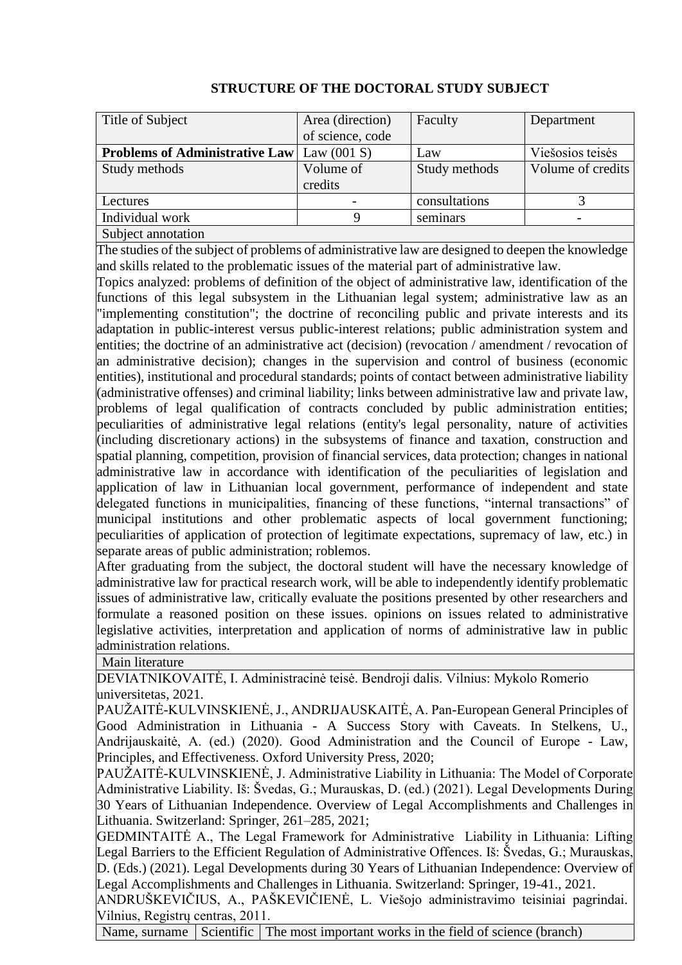| Title of Subject                      | Area (direction) | Faculty       | Department        |
|---------------------------------------|------------------|---------------|-------------------|
|                                       | of science, code |               |                   |
| <b>Problems of Administrative Law</b> | Law $(001 S)$    | Law           | Viešosios teisės  |
| Study methods                         | Volume of        | Study methods | Volume of credits |
|                                       | credits          |               |                   |
| Lectures                              |                  | consultations |                   |
| Individual work                       | Q                | seminars      |                   |
| Subject annotation                    |                  |               |                   |

## **STRUCTURE OF THE DOCTORAL STUDY SUBJECT**

The studies of the subject of problems of administrative law are designed to deepen the knowledge and skills related to the problematic issues of the material part of administrative law.

Topics analyzed: problems of definition of the object of administrative law, identification of the functions of this legal subsystem in the Lithuanian legal system; administrative law as an "implementing constitution"; the doctrine of reconciling public and private interests and its adaptation in public-interest versus public-interest relations; public administration system and entities; the doctrine of an administrative act (decision) (revocation / amendment / revocation of an administrative decision); changes in the supervision and control of business (economic entities), institutional and procedural standards; points of contact between administrative liability (administrative offenses) and criminal liability; links between administrative law and private law, problems of legal qualification of contracts concluded by public administration entities; peculiarities of administrative legal relations (entity's legal personality, nature of activities (including discretionary actions) in the subsystems of finance and taxation, construction and spatial planning, competition, provision of financial services, data protection; changes in national administrative law in accordance with identification of the peculiarities of legislation and application of law in Lithuanian local government, performance of independent and state delegated functions in municipalities, financing of these functions, "internal transactions" of municipal institutions and other problematic aspects of local government functioning; peculiarities of application of protection of legitimate expectations, supremacy of law, etc.) in separate areas of public administration; roblemos.

After graduating from the subject, the doctoral student will have the necessary knowledge of administrative law for practical research work, will be able to independently identify problematic issues of administrative law, critically evaluate the positions presented by other researchers and formulate a reasoned position on these issues. opinions on issues related to administrative legislative activities, interpretation and application of norms of administrative law in public administration relations.

Main literature

DEVIATNIKOVAITĖ, I. Administracinė teisė. Bendroji dalis. Vilnius: Mykolo Romerio universitetas, 2021.

PAUŽAITĖ-KULVINSKIENĖ, J., ANDRIJAUSKAITĖ, A. Pan-European General Principles of Good Administration in Lithuania - A Success Story with Caveats. In Stelkens, U., Andrijauskaitė, A. (ed.) (2020). Good Administration and the Council of Europe - Law, Principles, and Effectiveness. Oxford University Press, 2020;

PAUŽAITĖ-KULVINSKIENĖ, J. Administrative Liability in Lithuania: The Model of Corporate Administrative Liability. Iš: Švedas, G.; Murauskas, D. (ed.) (2021). Legal Developments During 30 Years of Lithuanian Independence. Overview of Legal Accomplishments and Challenges in Lithuania. Switzerland: Springer, 261–285, 2021;

GEDMINTAITĖ A., The Legal Framework for Administrative Liability in Lithuania: Lifting Legal Barriers to the Efficient Regulation of Administrative Offences. Iš: Švedas, G.; Murauskas, D. (Eds.) (2021). Legal Developments during 30 Years of Lithuanian Independence: Overview of Legal Accomplishments and Challenges in Lithuania. Switzerland: Springer, 19-41., 2021.

ANDRUŠKEVIČIUS, A., PAŠKEVIČIENĖ, L. Viešojo administravimo teisiniai pagrindai. Vilnius, Registrų centras, 2011.

Name, surname Scientific The most important works in the field of science (branch)